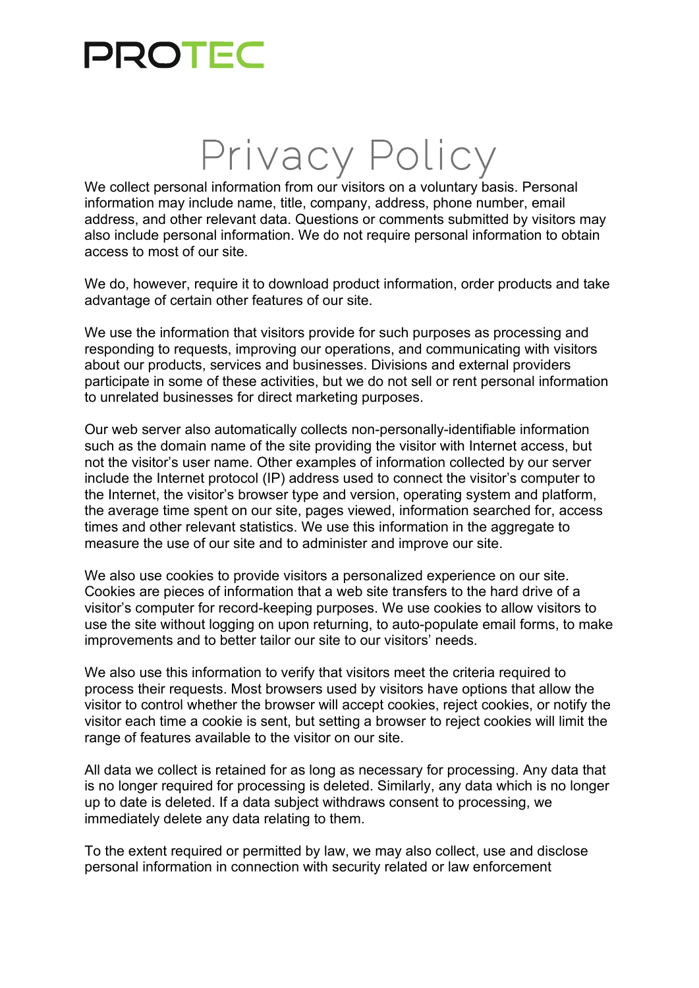## PROTEC

## Privacy Policy

We collect personal information from our visitors on a voluntary basis. Personal information may include name, title, company, address, phone number, email address, and other relevant data. Questions or comments submitted by visitors may also include personal information. We do not require personal information to obtain access to most of our site.

We do, however, require it to download product information, order products and take advantage of certain other features of our site.

We use the information that visitors provide for such purposes as processing and responding to requests, improving our operations, and communicating with visitors about our products, services and businesses. Divisions and external providers participate in some of these activities, but we do not sell or rent personal information to unrelated businesses for direct marketing purposes.

Our web server also automatically collects non-personally-identifiable information such as the domain name of the site providing the visitor with Internet access, but not the visitor's user name. Other examples of information collected by our server include the Internet protocol (IP) address used to connect the visitor's computer to the Internet, the visitor's browser type and version, operating system and platform, the average time spent on our site, pages viewed, information searched for, access times and other relevant statistics. We use this information in the aggregate to measure the use of our site and to administer and improve our site.

We also use cookies to provide visitors a personalized experience on our site. Cookies are pieces of information that a web site transfers to the hard drive of a visitor's computer for record-keeping purposes. We use cookies to allow visitors to use the site without logging on upon returning, to auto-populate email forms, to make improvements and to better tailor our site to our visitors' needs.

We also use this information to verify that visitors meet the criteria required to process their requests. Most browsers used by visitors have options that allow the visitor to control whether the browser will accept cookies, reject cookies, or notify the visitor each time a cookie is sent, but setting a browser to reject cookies will limit the range of features available to the visitor on our site.

All data we collect is retained for as long as necessary for processing. Any data that is no longer required for processing is deleted. Similarly, any data which is no longer up to date is deleted. If a data subject withdraws consent to processing, we immediately delete any data relating to them.

To the extent required or permitted by law, we may also collect, use and disclose personal information in connection with security related or law enforcement